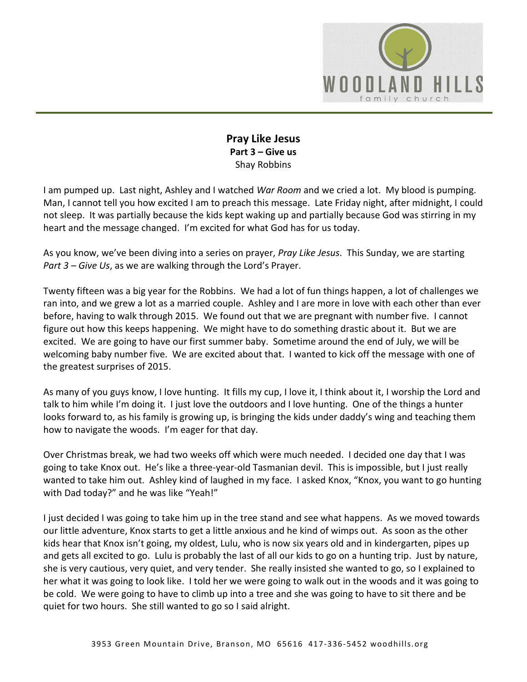

## **Pray Like Jesus Part 3 – Give us**  Shay Robbins

I am pumped up. Last night, Ashley and I watched *War Room* and we cried a lot. My blood is pumping. Man, I cannot tell you how excited I am to preach this message. Late Friday night, after midnight, I could not sleep. It was partially because the kids kept waking up and partially because God was stirring in my heart and the message changed. I'm excited for what God has for us today.

As you know, we've been diving into a series on prayer, *Pray Like Jesus*. This Sunday, we are starting *Part 3 – Give Us*, as we are walking through the Lord's Prayer.

Twenty fifteen was a big year for the Robbins. We had a lot of fun things happen, a lot of challenges we ran into, and we grew a lot as a married couple. Ashley and I are more in love with each other than ever before, having to walk through 2015. We found out that we are pregnant with number five. I cannot figure out how this keeps happening. We might have to do something drastic about it. But we are excited. We are going to have our first summer baby. Sometime around the end of July, we will be welcoming baby number five. We are excited about that. I wanted to kick off the message with one of the greatest surprises of 2015.

As many of you guys know, I love hunting. It fills my cup, I love it, I think about it, I worship the Lord and talk to him while I'm doing it. I just love the outdoors and I love hunting. One of the things a hunter looks forward to, as his family is growing up, is bringing the kids under daddy's wing and teaching them how to navigate the woods. I'm eager for that day.

Over Christmas break, we had two weeks off which were much needed. I decided one day that I was going to take Knox out. He's like a three-year-old Tasmanian devil. This is impossible, but I just really wanted to take him out. Ashley kind of laughed in my face. I asked Knox, "Knox, you want to go hunting with Dad today?" and he was like "Yeah!"

I just decided I was going to take him up in the tree stand and see what happens. As we moved towards our little adventure, Knox starts to get a little anxious and he kind of wimps out. As soon as the other kids hear that Knox isn't going, my oldest, Lulu, who is now six years old and in kindergarten, pipes up and gets all excited to go. Lulu is probably the last of all our kids to go on a hunting trip. Just by nature, she is very cautious, very quiet, and very tender. She really insisted she wanted to go, so I explained to her what it was going to look like. I told her we were going to walk out in the woods and it was going to be cold. We were going to have to climb up into a tree and she was going to have to sit there and be quiet for two hours. She still wanted to go so I said alright.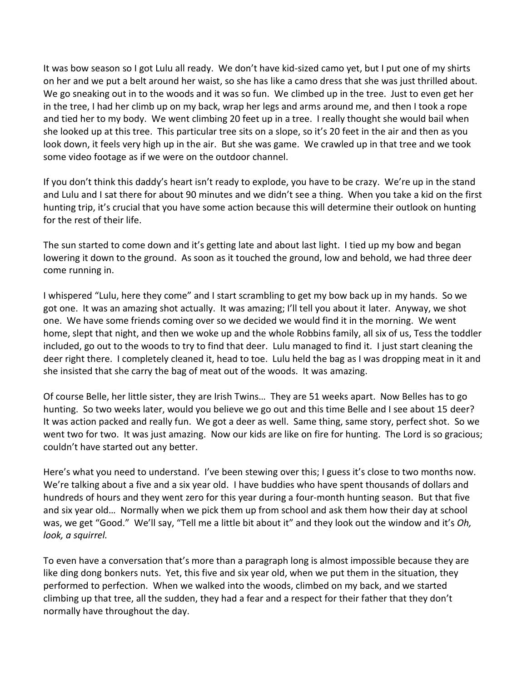It was bow season so I got Lulu all ready. We don't have kid-sized camo yet, but I put one of my shirts on her and we put a belt around her waist, so she has like a camo dress that she was just thrilled about. We go sneaking out in to the woods and it was so fun. We climbed up in the tree. Just to even get her in the tree, I had her climb up on my back, wrap her legs and arms around me, and then I took a rope and tied her to my body. We went climbing 20 feet up in a tree. I really thought she would bail when she looked up at this tree. This particular tree sits on a slope, so it's 20 feet in the air and then as you look down, it feels very high up in the air. But she was game. We crawled up in that tree and we took some video footage as if we were on the outdoor channel.

If you don't think this daddy's heart isn't ready to explode, you have to be crazy. We're up in the stand and Lulu and I sat there for about 90 minutes and we didn't see a thing. When you take a kid on the first hunting trip, it's crucial that you have some action because this will determine their outlook on hunting for the rest of their life.

The sun started to come down and it's getting late and about last light. I tied up my bow and began lowering it down to the ground. As soon as it touched the ground, low and behold, we had three deer come running in.

I whispered "Lulu, here they come" and I start scrambling to get my bow back up in my hands. So we got one. It was an amazing shot actually. It was amazing; I'll tell you about it later. Anyway, we shot one. We have some friends coming over so we decided we would find it in the morning. We went home, slept that night, and then we woke up and the whole Robbins family, all six of us, Tess the toddler included, go out to the woods to try to find that deer. Lulu managed to find it. I just start cleaning the deer right there. I completely cleaned it, head to toe. Lulu held the bag as I was dropping meat in it and she insisted that she carry the bag of meat out of the woods. It was amazing.

Of course Belle, her little sister, they are Irish Twins… They are 51 weeks apart. Now Belles has to go hunting. So two weeks later, would you believe we go out and this time Belle and I see about 15 deer? It was action packed and really fun. We got a deer as well. Same thing, same story, perfect shot. So we went two for two. It was just amazing. Now our kids are like on fire for hunting. The Lord is so gracious; couldn't have started out any better.

Here's what you need to understand. I've been stewing over this; I guess it's close to two months now. We're talking about a five and a six year old. I have buddies who have spent thousands of dollars and hundreds of hours and they went zero for this year during a four-month hunting season. But that five and six year old… Normally when we pick them up from school and ask them how their day at school was, we get "Good." We'll say, "Tell me a little bit about it" and they look out the window and it's *Oh, look, a squirrel.*

To even have a conversation that's more than a paragraph long is almost impossible because they are like ding dong bonkers nuts. Yet, this five and six year old, when we put them in the situation, they performed to perfection. When we walked into the woods, climbed on my back, and we started climbing up that tree, all the sudden, they had a fear and a respect for their father that they don't normally have throughout the day.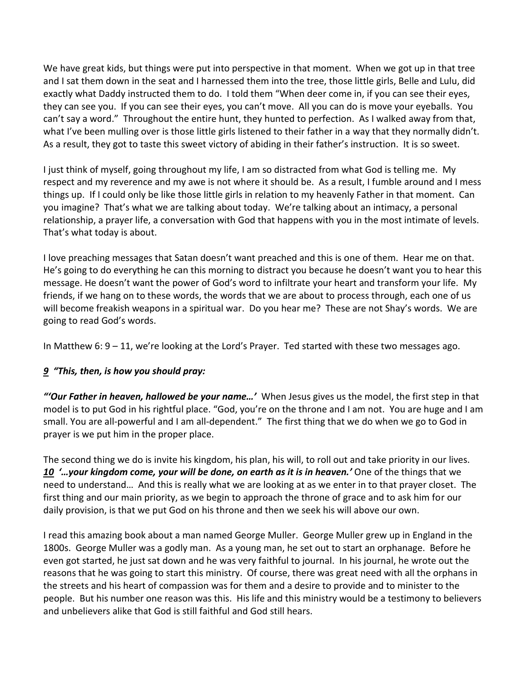We have great kids, but things were put into perspective in that moment. When we got up in that tree and I sat them down in the seat and I harnessed them into the tree, those little girls, Belle and Lulu, did exactly what Daddy instructed them to do. I told them "When deer come in, if you can see their eyes, they can see you. If you can see their eyes, you can't move. All you can do is move your eyeballs. You can't say a word." Throughout the entire hunt, they hunted to perfection. As I walked away from that, what I've been mulling over is those little girls listened to their father in a way that they normally didn't. As a result, they got to taste this sweet victory of abiding in their father's instruction. It is so sweet.

I just think of myself, going throughout my life, I am so distracted from what God is telling me. My respect and my reverence and my awe is not where it should be. As a result, I fumble around and I mess things up. If I could only be like those little girls in relation to my heavenly Father in that moment. Can you imagine? That's what we are talking about today. We're talking about an intimacy, a personal relationship, a prayer life, a conversation with God that happens with you in the most intimate of levels. That's what today is about.

I love preaching messages that Satan doesn't want preached and this is one of them. Hear me on that. He's going to do everything he can this morning to distract you because he doesn't want you to hear this message. He doesn't want the power of God's word to infiltrate your heart and transform your life. My friends, if we hang on to these words, the words that we are about to process through, each one of us will become freakish weapons in a spiritual war. Do you hear me? These are not Shay's words. We are going to read God's words.

In Matthew 6: 9 – 11, we're looking at the Lord's Prayer. Ted started with these two messages ago.

# *[9](http://www.studylight.org/desk/?q=mt%206:9&t1=en_niv&sr=1) "This, then, is how you should pray:*

*"'Our Father in heaven, hallowed be your name…'* When Jesus gives us the model, the first step in that model is to put God in his rightful place. "God, you're on the throne and I am not. You are huge and I am small. You are all-powerful and I am all-dependent." The first thing that we do when we go to God in prayer is we put him in the proper place.

The second thing we do is invite his kingdom, his plan, his will, to roll out and take priority in our lives. *[10](http://www.studylight.org/desk/?q=mt%206:10&t1=en_niv&sr=1) '…your kingdom come, your will be done, on earth as it is in heaven.'* One of the things that we need to understand… And this is really what we are looking at as we enter in to that prayer closet. The first thing and our main priority, as we begin to approach the throne of grace and to ask him for our daily provision, is that we put God on his throne and then we seek his will above our own.

I read this amazing book about a man named George Muller. George Muller grew up in England in the 1800s. George Muller was a godly man. As a young man, he set out to start an orphanage. Before he even got started, he just sat down and he was very faithful to journal. In his journal, he wrote out the reasons that he was going to start this ministry. Of course, there was great need with all the orphans in the streets and his heart of compassion was for them and a desire to provide and to minister to the people. But his number one reason was this. His life and this ministry would be a testimony to believers and unbelievers alike that God is still faithful and God still hears.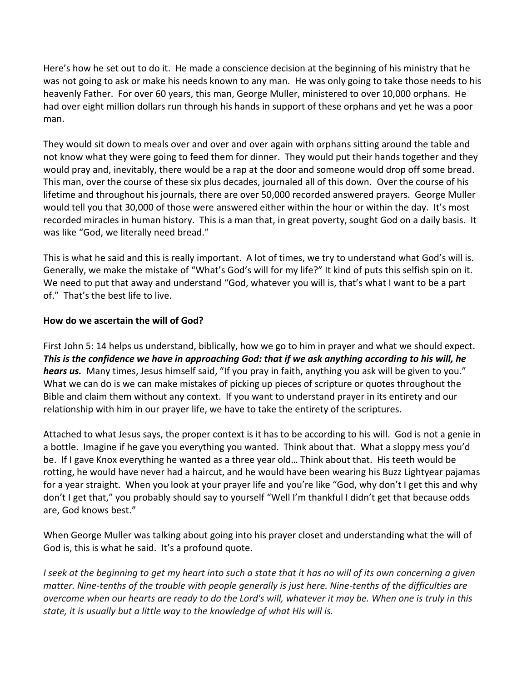Here's how he set out to do it. He made a conscience decision at the beginning of his ministry that he was not going to ask or make his needs known to any man. He was only going to take those needs to his heavenly Father. For over 60 years, this man, George Muller, ministered to over 10,000 orphans. He had over eight million dollars run through his hands in support of these orphans and yet he was a poor man.

They would sit down to meals over and over and over again with orphans sitting around the table and not know what they were going to feed them for dinner. They would put their hands together and they would pray and, inevitably, there would be a rap at the door and someone would drop off some bread. This man, over the course of these six plus decades, journaled all of this down. Over the course of his lifetime and throughout his journals, there are over 50,000 recorded answered prayers. George Muller would tell you that 30,000 of those were answered either within the hour or within the day. It's most recorded miracles in human history. This is a man that, in great poverty, sought God on a daily basis. It was like "God, we literally need bread."

This is what he said and this is really important. A lot of times, we try to understand what God's will is. Generally, we make the mistake of "What's God's will for my life?" It kind of puts this selfish spin on it. We need to put that away and understand "God, whatever you will is, that's what I want to be a part of." That's the best life to live.

#### **How do we ascertain the will of God?**

First John 5: 14 helps us understand, biblically, how we go to him in prayer and what we should expect. *This is the confidence we have in approaching God: that if we ask anything according to his will, he hears us.* Many times, Jesus himself said, "If you pray in faith, anything you ask will be given to you." What we can do is we can make mistakes of picking up pieces of scripture or quotes throughout the Bible and claim them without any context. If you want to understand prayer in its entirety and our relationship with him in our prayer life, we have to take the entirety of the scriptures.

Attached to what Jesus says, the proper context is it has to be according to his will. God is not a genie in a bottle. Imagine if he gave you everything you wanted. Think about that. What a sloppy mess you'd be. If I gave Knox everything he wanted as a three year old… Think about that. His teeth would be rotting, he would have never had a haircut, and he would have been wearing his Buzz Lightyear pajamas for a year straight. When you look at your prayer life and you're like "God, why don't I get this and why don't I get that," you probably should say to yourself "Well I'm thankful I didn't get that because odds are, God knows best."

When George Muller was talking about going into his prayer closet and understanding what the will of God is, this is what he said. It's a profound quote.

*I seek at the beginning to get my heart into such a state that it has no will of its own concerning a given matter. Nine-tenths of the trouble with people generally is just here. Nine-tenths of the difficulties are overcome when our hearts are ready to do the Lord's will, whatever it may be. When one is truly in this state, it is usually but a little way to the knowledge of what His will is.*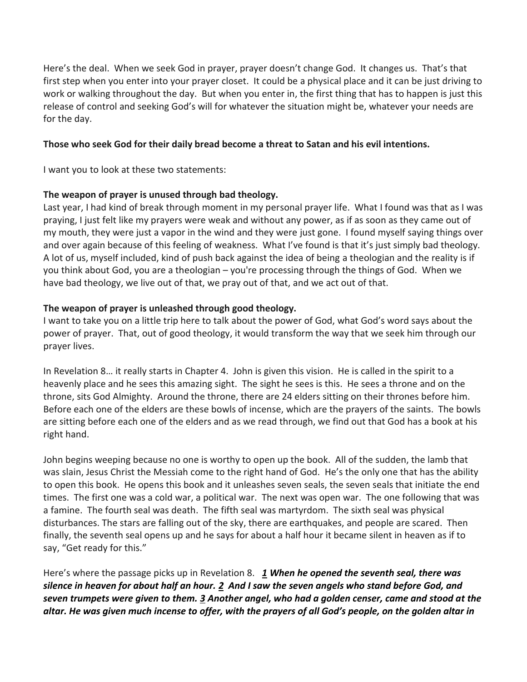Here's the deal. When we seek God in prayer, prayer doesn't change God. It changes us. That's that first step when you enter into your prayer closet. It could be a physical place and it can be just driving to work or walking throughout the day. But when you enter in, the first thing that has to happen is just this release of control and seeking God's will for whatever the situation might be, whatever your needs are for the day.

#### **Those who seek God for their daily bread become a threat to Satan and his evil intentions.**

I want you to look at these two statements:

#### **The weapon of prayer is unused through bad theology.**

Last year, I had kind of break through moment in my personal prayer life. What I found was that as I was praying, I just felt like my prayers were weak and without any power, as if as soon as they came out of my mouth, they were just a vapor in the wind and they were just gone. I found myself saying things over and over again because of this feeling of weakness. What I've found is that it's just simply bad theology. A lot of us, myself included, kind of push back against the idea of being a theologian and the reality is if you think about God, you are a theologian – you're processing through the things of God. When we have bad theology, we live out of that, we pray out of that, and we act out of that.

## **The weapon of prayer is unleashed through good theology.**

I want to take you on a little trip here to talk about the power of God, what God's word says about the power of prayer. That, out of good theology, it would transform the way that we seek him through our prayer lives.

In Revelation 8… it really starts in Chapter 4. John is given this vision. He is called in the spirit to a heavenly place and he sees this amazing sight. The sight he sees is this. He sees a throne and on the throne, sits God Almighty. Around the throne, there are 24 elders sitting on their thrones before him. Before each one of the elders are these bowls of incense, which are the prayers of the saints. The bowls are sitting before each one of the elders and as we read through, we find out that God has a book at his right hand.

John begins weeping because no one is worthy to open up the book. All of the sudden, the lamb that was slain, Jesus Christ the Messiah come to the right hand of God. He's the only one that has the ability to open this book. He opens this book and it unleashes seven seals, the seven seals that initiate the end times. The first one was a cold war, a political war. The next was open war. The one following that was a famine. The fourth seal was death. The fifth seal was martyrdom. The sixth seal was physical disturbances. The stars are falling out of the sky, there are earthquakes, and people are scared. Then finally, the seventh seal opens up and he says for about a half hour it became silent in heaven as if to say, "Get ready for this."

Here's where the passage picks up in Revelation 8. *[1](http://www.studylight.org/desk/?q=re%208:1&t1=en_niv&sr=1) When he opened the seventh seal, there was silence in heaven for about half an hour. [2](http://www.studylight.org/desk/?q=re%208:2&t1=en_niv&sr=1) And I saw the seven angels who stand before God, and seven trumpets were given to them. [3](http://www.studylight.org/desk/?q=re%208:3&t1=en_niv&sr=1) Another angel, who had a golden censer, came and stood at the altar. He was given much incense to offer, with the prayers of all God's people, on the golden altar in*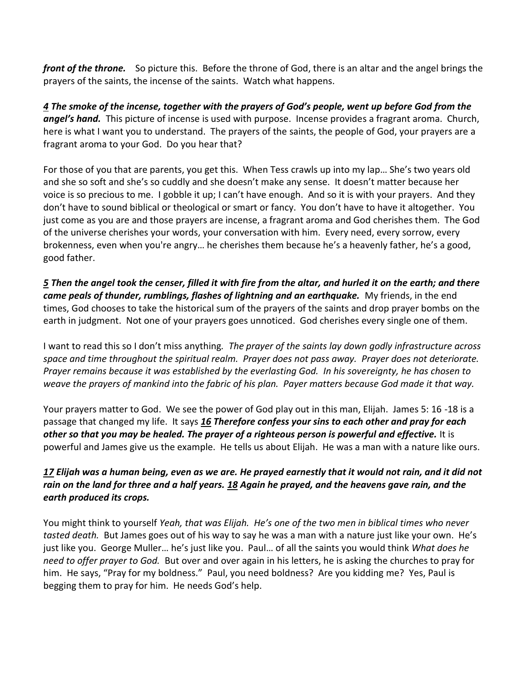*front of the throne.* So picture this. Before the throne of God, there is an altar and the angel brings the prayers of the saints, the incense of the saints. Watch what happens.

*[4](http://www.studylight.org/desk/?q=re%208:4&t1=en_niv&sr=1) The smoke of the incense, together with the prayers of God's people, went up before God from the*  angel's hand. This picture of incense is used with purpose. Incense provides a fragrant aroma. Church, here is what I want you to understand. The prayers of the saints, the people of God, your prayers are a fragrant aroma to your God. Do you hear that?

For those of you that are parents, you get this. When Tess crawls up into my lap… She's two years old and she so soft and she's so cuddly and she doesn't make any sense. It doesn't matter because her voice is so precious to me. I gobble it up; I can't have enough. And so it is with your prayers. And they don't have to sound biblical or theological or smart or fancy. You don't have to have it altogether. You just come as you are and those prayers are incense, a fragrant aroma and God cherishes them. The God of the universe cherishes your words, your conversation with him. Every need, every sorrow, every brokenness, even when you're angry… he cherishes them because he's a heavenly father, he's a good, good father.

*[5](http://www.studylight.org/desk/?q=re%208:5&t1=en_niv&sr=1) Then the angel took the censer, filled it with fire from the altar, and hurled it on the earth; and there came peals of thunder, rumblings, flashes of lightning and an earthquake.* My friends, in the end times, God chooses to take the historical sum of the prayers of the saints and drop prayer bombs on the earth in judgment. Not one of your prayers goes unnoticed. God cherishes every single one of them.

I want to read this so I don't miss anything*. The prayer of the saints lay down godly infrastructure across space and time throughout the spiritual realm. Prayer does not pass away. Prayer does not deteriorate. Prayer remains because it was established by the everlasting God. In his sovereignty, he has chosen to weave the prayers of mankind into the fabric of his plan. Payer matters because God made it that way.* 

Your prayers matter to God. We see the power of God play out in this man, Elijah. James 5: 16 -18 is a passage that changed my life. It says *[16](http://www.studylight.org/desk/?q=jas%205:16&t1=en_niv&sr=1) Therefore confess your sins to each other and pray for each other so that you may be healed. The prayer of a righteous person is powerful and effective.* It is powerful and James give us the example. He tells us about Elijah. He was a man with a nature like ours.

## *[17](http://www.studylight.org/desk/?q=jas%205:17&t1=en_niv&sr=1) Elijah was a human being, even as we are. He prayed earnestly that it would not rain, and it did not rain on the land for three and a half years. [18](http://www.studylight.org/desk/?q=jas%205:18&t1=en_niv&sr=1) Again he prayed, and the heavens gave rain, and the earth produced its crops.*

You might think to yourself *Yeah, that was Elijah. He's one of the two men in biblical times who never tasted death.* But James goes out of his way to say he was a man with a nature just like your own. He's just like you. George Muller… he's just like you. Paul… of all the saints you would think *What does he need to offer prayer to God.* But over and over again in his letters, he is asking the churches to pray for him. He says, "Pray for my boldness." Paul, you need boldness? Are you kidding me? Yes, Paul is begging them to pray for him. He needs God's help.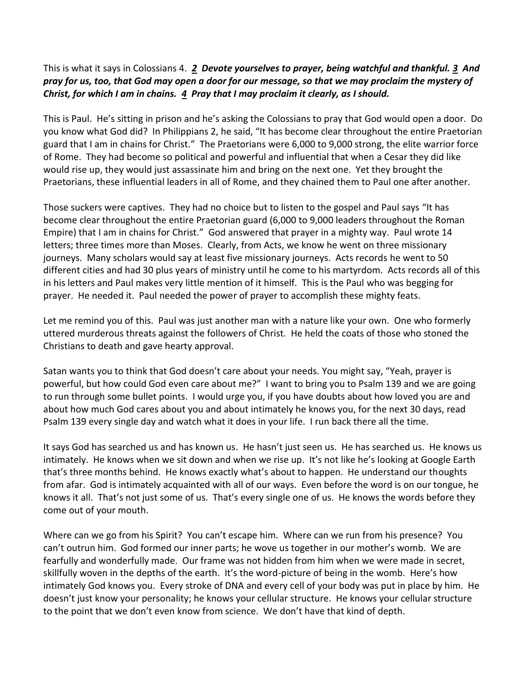## This is what it says in Colossians 4. *[2](http://www.studylight.org/desk/?q=col%204:2&t1=en_niv&sr=1) Devote yourselves to prayer, being watchful and thankful. [3](http://www.studylight.org/desk/?q=col%204:3&t1=en_niv&sr=1) And pray for us, too, that God may open a door for our message, so that we may proclaim the mystery of Christ, for which I am in chains. [4](http://www.studylight.org/desk/?q=col%204:4&t1=en_niv&sr=1) Pray that I may proclaim it clearly, as I should.*

This is Paul. He's sitting in prison and he's asking the Colossians to pray that God would open a door. Do you know what God did? In Philippians 2, he said, "It has become clear throughout the entire Praetorian guard that I am in chains for Christ." The Praetorians were 6,000 to 9,000 strong, the elite warrior force of Rome. They had become so political and powerful and influential that when a Cesar they did like would rise up, they would just assassinate him and bring on the next one. Yet they brought the Praetorians, these influential leaders in all of Rome, and they chained them to Paul one after another.

Those suckers were captives. They had no choice but to listen to the gospel and Paul says "It has become clear throughout the entire Praetorian guard (6,000 to 9,000 leaders throughout the Roman Empire) that I am in chains for Christ." God answered that prayer in a mighty way. Paul wrote 14 letters; three times more than Moses. Clearly, from Acts, we know he went on three missionary journeys. Many scholars would say at least five missionary journeys. Acts records he went to 50 different cities and had 30 plus years of ministry until he come to his martyrdom. Acts records all of this in his letters and Paul makes very little mention of it himself. This is the Paul who was begging for prayer. He needed it. Paul needed the power of prayer to accomplish these mighty feats.

Let me remind you of this. Paul was just another man with a nature like your own. One who formerly uttered murderous threats against the followers of Christ. He held the coats of those who stoned the Christians to death and gave hearty approval.

Satan wants you to think that God doesn't care about your needs. You might say, "Yeah, prayer is powerful, but how could God even care about me?" I want to bring you to Psalm 139 and we are going to run through some bullet points. I would urge you, if you have doubts about how loved you are and about how much God cares about you and about intimately he knows you, for the next 30 days, read Psalm 139 every single day and watch what it does in your life. I run back there all the time.

It says God has searched us and has known us. He hasn't just seen us. He has searched us. He knows us intimately. He knows when we sit down and when we rise up. It's not like he's looking at Google Earth that's three months behind. He knows exactly what's about to happen. He understand our thoughts from afar. God is intimately acquainted with all of our ways. Even before the word is on our tongue, he knows it all. That's not just some of us. That's every single one of us. He knows the words before they come out of your mouth.

Where can we go from his Spirit? You can't escape him. Where can we run from his presence? You can't outrun him. God formed our inner parts; he wove us together in our mother's womb. We are fearfully and wonderfully made. Our frame was not hidden from him when we were made in secret, skillfully woven in the depths of the earth. It's the word-picture of being in the womb. Here's how intimately God knows you. Every stroke of DNA and every cell of your body was put in place by him. He doesn't just know your personality; he knows your cellular structure. He knows your cellular structure to the point that we don't even know from science. We don't have that kind of depth.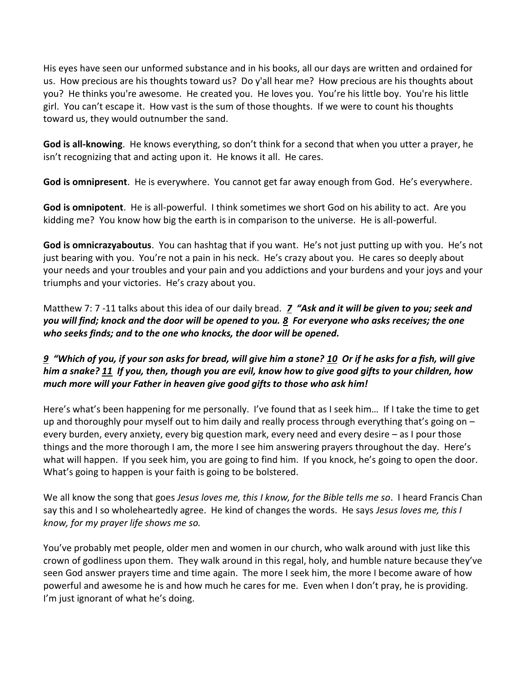His eyes have seen our unformed substance and in his books, all our days are written and ordained for us. How precious are his thoughts toward us? Do y'all hear me? How precious are his thoughts about you? He thinks you're awesome. He created you. He loves you. You're his little boy. You're his little girl. You can't escape it. How vast is the sum of those thoughts. If we were to count his thoughts toward us, they would outnumber the sand.

**God is all-knowing**. He knows everything, so don't think for a second that when you utter a prayer, he isn't recognizing that and acting upon it. He knows it all. He cares.

**God is omnipresent**. He is everywhere. You cannot get far away enough from God. He's everywhere.

**God is omnipotent**. He is all-powerful. I think sometimes we short God on his ability to act. Are you kidding me? You know how big the earth is in comparison to the universe. He is all-powerful.

**God is omnicrazyaboutus**. You can hashtag that if you want. He's not just putting up with you. He's not just bearing with you. You're not a pain in his neck. He's crazy about you. He cares so deeply about your needs and your troubles and your pain and you addictions and your burdens and your joys and your triumphs and your victories. He's crazy about you.

Matthew 7: 7 -11 talks about this idea of our daily bread. *[7](http://www.studylight.org/desk/?q=mt%207:7&t1=en_niv&sr=1) "Ask and it will be given to you; seek and you will find; knock and the door will be opened to you. [8](http://www.studylight.org/desk/?q=mt%207:8&t1=en_niv&sr=1) For everyone who asks receives; the one who seeks finds; and to the one who knocks, the door will be opened.* 

# *[9](http://www.studylight.org/desk/?q=mt%207:9&t1=en_niv&sr=1) "Which of you, if your son asks for bread, will give him a stone? [10](http://www.studylight.org/desk/?q=mt%207:10&t1=en_niv&sr=1) Or if he asks for a fish, will give him a snake? [11](http://www.studylight.org/desk/?q=mt%207:11&t1=en_niv&sr=1) If you, then, though you are evil, know how to give good gifts to your children, how much more will your Father in heaven give good gifts to those who ask him!*

Here's what's been happening for me personally. I've found that as I seek him… If I take the time to get up and thoroughly pour myself out to him daily and really process through everything that's going on – every burden, every anxiety, every big question mark, every need and every desire – as I pour those things and the more thorough I am, the more I see him answering prayers throughout the day. Here's what will happen. If you seek him, you are going to find him. If you knock, he's going to open the door. What's going to happen is your faith is going to be bolstered.

We all know the song that goes *Jesus loves me, this I know, for the Bible tells me so*. I heard Francis Chan say this and I so wholeheartedly agree. He kind of changes the words. He says *Jesus loves me, this I know, for my prayer life shows me so.* 

You've probably met people, older men and women in our church, who walk around with just like this crown of godliness upon them. They walk around in this regal, holy, and humble nature because they've seen God answer prayers time and time again. The more I seek him, the more I become aware of how powerful and awesome he is and how much he cares for me. Even when I don't pray, he is providing. I'm just ignorant of what he's doing.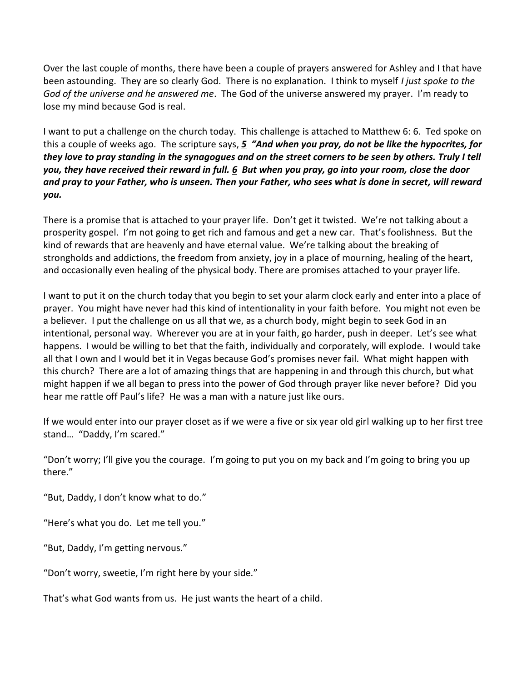Over the last couple of months, there have been a couple of prayers answered for Ashley and I that have been astounding. They are so clearly God. There is no explanation. I think to myself *I just spoke to the God of the universe and he answered me*. The God of the universe answered my prayer. I'm ready to lose my mind because God is real.

I want to put a challenge on the church today. This challenge is attached to Matthew 6: 6. Ted spoke on this a couple of weeks ago. The scripture says, *[5](http://www.studylight.org/desk/?q=mt%206:5&t1=en_niv&sr=1) "And when you pray, do not be like the hypocrites, for they love to pray standing in the synagogues and on the street corners to be seen by others. Truly I tell you, they have received their reward in full. [6](http://www.studylight.org/desk/?q=mt%206:6&t1=en_niv&sr=1) But when you pray, go into your room, close the door and pray to your Father, who is unseen. Then your Father, who sees what is done in secret, will reward you.* 

There is a promise that is attached to your prayer life. Don't get it twisted. We're not talking about a prosperity gospel. I'm not going to get rich and famous and get a new car. That's foolishness. But the kind of rewards that are heavenly and have eternal value. We're talking about the breaking of strongholds and addictions, the freedom from anxiety, joy in a place of mourning, healing of the heart, and occasionally even healing of the physical body. There are promises attached to your prayer life.

I want to put it on the church today that you begin to set your alarm clock early and enter into a place of prayer. You might have never had this kind of intentionality in your faith before. You might not even be a believer. I put the challenge on us all that we, as a church body, might begin to seek God in an intentional, personal way. Wherever you are at in your faith, go harder, push in deeper. Let's see what happens. I would be willing to bet that the faith, individually and corporately, will explode. I would take all that I own and I would bet it in Vegas because God's promises never fail. What might happen with this church? There are a lot of amazing things that are happening in and through this church, but what might happen if we all began to press into the power of God through prayer like never before? Did you hear me rattle off Paul's life? He was a man with a nature just like ours.

If we would enter into our prayer closet as if we were a five or six year old girl walking up to her first tree stand… "Daddy, I'm scared."

"Don't worry; I'll give you the courage. I'm going to put you on my back and I'm going to bring you up there."

"But, Daddy, I don't know what to do."

"Here's what you do. Let me tell you."

"But, Daddy, I'm getting nervous."

"Don't worry, sweetie, I'm right here by your side."

That's what God wants from us. He just wants the heart of a child.